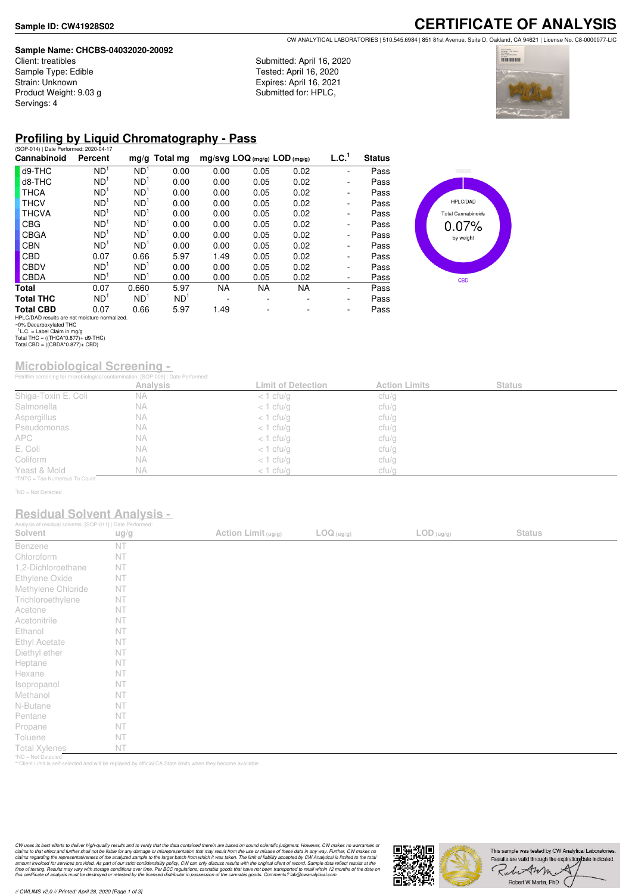#### **Sample Name: CHCBS-04032020-20092**

Client: treatibles Sample Type: Edible Strain: Unknown Product Weight: 9.03 g Servings: 4

**CERTIFICATE OF ANALYSIS** CW ANALYTICAL LABORATORIES | 510.545.6984 | 851 81st Avenue, Suite D, Oakland, CA 94621 | License No. C8-0000077-LIC

Submitted: April 16, 2020 Tested: April 16, 2020 Expires: April 16, 2021 Submitted for: HPLC,



## **Profiling by Liquid Chromatography - Pass**

| (SOP-014)   Date Performed: 2020-04-17       |                 |                 |                 |                                |           |           |                          |               |
|----------------------------------------------|-----------------|-----------------|-----------------|--------------------------------|-----------|-----------|--------------------------|---------------|
| Cannabinoid                                  | Percent         |                 | $mg/g$ Total mg | $mg/svg$ LOQ (mg/g) LOD (mg/g) |           |           | L.C. <sup>1</sup>        | <b>Status</b> |
| d9-THC                                       | ND <sup>1</sup> | ND <sup>1</sup> | 0.00            | 0.00                           | 0.05      | 0.02      | -                        | Pass          |
| d8-THC                                       | ND <sup>1</sup> | ND <sup>1</sup> | 0.00            | 0.00                           | 0.05      | 0.02      | $\overline{\phantom{0}}$ | Pass          |
| <b>THCA</b>                                  | ND <sup>1</sup> | ND <sup>1</sup> | 0.00            | 0.00                           | 0.05      | 0.02      | $\overline{\phantom{0}}$ | Pass          |
| <b>THCV</b>                                  | ND <sup>1</sup> | ND <sup>1</sup> | 0.00            | 0.00                           | 0.05      | 0.02      | $\overline{\phantom{0}}$ | Pass          |
| <b>THCVA</b>                                 | ND <sup>1</sup> | ND <sup>1</sup> | 0.00            | 0.00                           | 0.05      | 0.02      | $\overline{\phantom{0}}$ | Pass          |
| <b>CBG</b>                                   | ND <sup>1</sup> | ND <sup>1</sup> | 0.00            | 0.00                           | 0.05      | 0.02      | $\overline{\phantom{0}}$ | Pass          |
| <b>CBGA</b>                                  | ND <sup>1</sup> | ND <sup>1</sup> | 0.00            | 0.00                           | 0.05      | 0.02      | -                        | Pass          |
| <b>CBN</b>                                   | ND <sup>1</sup> | ND <sup>1</sup> | 0.00            | 0.00                           | 0.05      | 0.02      | $\overline{\phantom{0}}$ | Pass          |
| CBD                                          | 0.07            | 0.66            | 5.97            | 1.49                           | 0.05      | 0.02      | $\overline{\phantom{0}}$ | Pass          |
| <b>CBDV</b>                                  | ND <sup>1</sup> | ND <sup>1</sup> | 0.00            | 0.00                           | 0.05      | 0.02      | -                        | Pass          |
| <b>CBDA</b>                                  | ND <sup>1</sup> | ND <sup>1</sup> | 0.00            | 0.00                           | 0.05      | 0.02      | -                        | Pass          |
| Total                                        | 0.07            | 0.660           | 5.97            | <b>NA</b>                      | <b>NA</b> | <b>NA</b> | -                        | Pass          |
| <b>Total THC</b>                             | ND <sup>1</sup> | ND <sup>1</sup> | ND <sup>1</sup> |                                |           |           | -                        | Pass          |
| <b>Total CBD</b>                             | 0.07            | 0.66            | 5.97            | 1.49                           |           |           | -                        | Pass          |
| HPLC/DAD results are not mojsture normalized |                 |                 |                 |                                |           |           |                          |               |



# **Microbiological Screening -**

|                               | Petriflim screening for microbiological contamination. [SOP-009]   Date Performed: |                           |                      |               |  |
|-------------------------------|------------------------------------------------------------------------------------|---------------------------|----------------------|---------------|--|
|                               | Analysis                                                                           | <b>Limit of Detection</b> | <b>Action Limits</b> | <b>Status</b> |  |
| Shiga-Toxin E. Coli           | <b>NA</b>                                                                          | $<$ 1 cfu/g               | cfu/g                |               |  |
| Salmonella                    | NА                                                                                 | $<$ 1 cfu/g               | cfu/g                |               |  |
| Aspergillus                   | NА                                                                                 | $<$ 1 cfu/g               | cfu/g                |               |  |
| Pseudomonas                   | <b>NA</b>                                                                          | $<$ 1 cfu/g               | cfu/g                |               |  |
| <b>APC</b>                    | NA.                                                                                | $<$ 1 cfu/g               | cfu/g                |               |  |
| E. Coli                       | NА                                                                                 | $<$ 1 cfu/g               | cfu/g                |               |  |
| Coliform                      | <b>NA</b>                                                                          | $<$ 1 cfu/g               | cfu/g                |               |  |
| Yeast & Mold                  | <b>NA</b>                                                                          | $<$ 1 cfu/q               | cfu/g                |               |  |
| *TNTC = Too Numerous To Count |                                                                                    |                           |                      |               |  |

<sup>1</sup>ND = Not Detected

### **Residual Solvent Analysis -**

| Analysis of residual solvents. [SOP-011]   Date Performed: |      |                     |            |                                          |               |  |
|------------------------------------------------------------|------|---------------------|------------|------------------------------------------|---------------|--|
| Solvent                                                    | ug/g | Action Limit (ug/g) | LOG (ug/g) | $\mathsf{LOD}\left(\mathsf{ug/g}\right)$ | <b>Status</b> |  |
| Benzene                                                    | NT   |                     |            |                                          |               |  |
| Chloroform                                                 | NT   |                     |            |                                          |               |  |
| 1,2-Dichloroethane                                         | NT   |                     |            |                                          |               |  |
| Ethylene Oxide                                             | NT   |                     |            |                                          |               |  |
| Methylene Chloride                                         | NT   |                     |            |                                          |               |  |
| Trichloroethylene                                          | NT   |                     |            |                                          |               |  |
| Acetone                                                    | NT   |                     |            |                                          |               |  |
| Acetonitrile                                               | NT   |                     |            |                                          |               |  |
| Ethanol                                                    | NT   |                     |            |                                          |               |  |
| Ethyl Acetate                                              | NT   |                     |            |                                          |               |  |
| Diethyl ether                                              | NT   |                     |            |                                          |               |  |
| Heptane                                                    | NT   |                     |            |                                          |               |  |
| Hexane                                                     | NT   |                     |            |                                          |               |  |
| Isopropanol                                                | NT   |                     |            |                                          |               |  |
| Methanol                                                   | NT   |                     |            |                                          |               |  |
| N-Butane                                                   | NT   |                     |            |                                          |               |  |
| Pentane                                                    | NT   |                     |            |                                          |               |  |
| Propane                                                    | NT   |                     |            |                                          |               |  |
| Toluene                                                    | NT   |                     |            |                                          |               |  |
| <b>Total Xylenes</b>                                       | NT   |                     |            |                                          |               |  |
| *ND = Not Detected                                         |      |                     |            |                                          |               |  |

\*ND = Not Detected \*\*Client Limit is self-selected and will be replaced by official CA State limits when they become available

CW uses its best efforts to deliver high-quality results and to verify that the data contained therein are based on sound scientific judgment. However, CW makes no warranties or<br>claims to that effect and turther shall not



HPLC/DAD results are not moisture normalized. ~0% Decarboxylated THC 1 L.C. = Label Claim in mg/g Total THC = ((THCA\*0.877)+ d9-THC) Total CBD = ((CBDA\*0.877)+ CBD)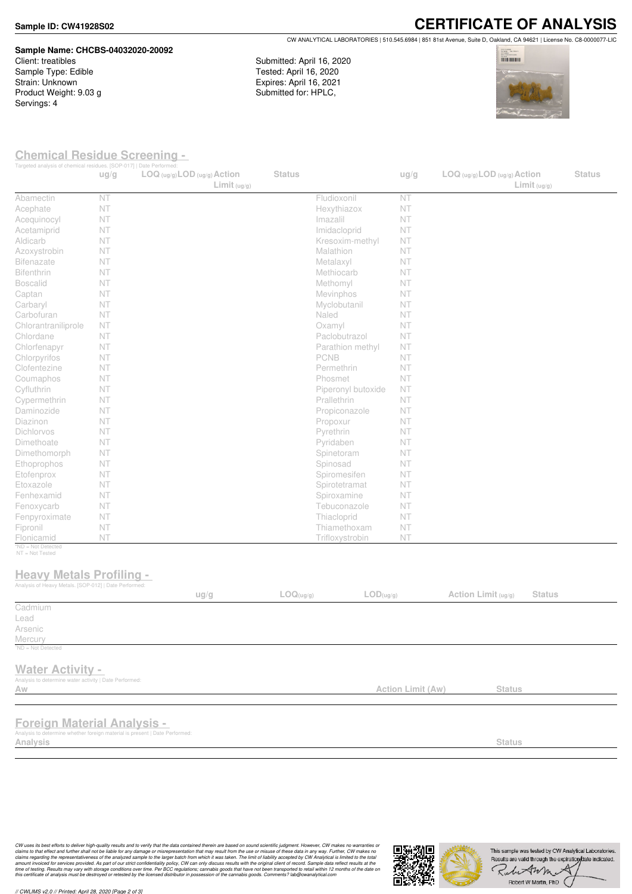### **Sample ID: CW41928S02**

## **Sample Name: CHCBS-04032020-20092**

Client: treatibles Sample Type: Edible Strain: Unknown Product Weight: 9.03 g Servings: 4

**CERTIFICATE OF ANALYSIS** CW ANALYTICAL LABORATORIES | 510.545.6984 | 851 81st Avenue, Suite D, Oakland, CA 94621 | License No. C8-0000077-LIC

Submitted: April 16, 2020 Tested: April 16, 2020 Expires: April 16, 2021 Submitted for: HPLC,



### **Chemical Residue Screening -**

|                                                                                                                                   | ug/g | Targeted analysis of chemical residues. [SOP-017]   Date Performed:<br>$LOG (ug/g)$ <i>LOD</i> $(ug/g)$ <i>Action</i><br>Limit <sub>(ug/g)</sub> | <b>Status</b> |                               | ug/g              | $LOG (ug/g)$ LOD $(ug/g)$ Action<br>Limit <sub>(ug/g)</sub> | <b>Status</b> |
|-----------------------------------------------------------------------------------------------------------------------------------|------|--------------------------------------------------------------------------------------------------------------------------------------------------|---------------|-------------------------------|-------------------|-------------------------------------------------------------|---------------|
| Abamectin                                                                                                                         | NT   |                                                                                                                                                  |               | Fludioxonil                   | NT                |                                                             |               |
| Acephate                                                                                                                          | NT   |                                                                                                                                                  |               | Hexythiazox                   | NT                |                                                             |               |
| Acequinocyl                                                                                                                       | NT   |                                                                                                                                                  |               | Imazalil                      | NT                |                                                             |               |
| Acetamiprid                                                                                                                       | NT   |                                                                                                                                                  |               | Imidacloprid                  | NT                |                                                             |               |
| Aldicarb                                                                                                                          | NT   |                                                                                                                                                  |               | Kresoxim-methyl               | <b>NT</b>         |                                                             |               |
| Azoxystrobin                                                                                                                      | NT   |                                                                                                                                                  |               | Malathion                     | NT                |                                                             |               |
| <b>Bifenazate</b>                                                                                                                 | NT   |                                                                                                                                                  |               | Metalaxyl                     | NT                |                                                             |               |
| Bifenthrin                                                                                                                        | NT   |                                                                                                                                                  |               | Methiocarb                    | <b>NT</b>         |                                                             |               |
| <b>Boscalid</b>                                                                                                                   | NT   |                                                                                                                                                  |               | Methomyl                      | <b>NT</b>         |                                                             |               |
| Captan                                                                                                                            | NT   |                                                                                                                                                  |               | Mevinphos                     | NT                |                                                             |               |
| Carbaryl                                                                                                                          | NT   |                                                                                                                                                  |               | Myclobutanil                  | NT                |                                                             |               |
| Carbofuran                                                                                                                        | NT   |                                                                                                                                                  |               | Naled                         | NT                |                                                             |               |
| Chlorantraniliprole                                                                                                               | NT   |                                                                                                                                                  |               | Oxamyl                        | NT                |                                                             |               |
| Chlordane                                                                                                                         | NT   |                                                                                                                                                  |               | Paclobutrazol                 | <b>NT</b>         |                                                             |               |
| Chlorfenapyr                                                                                                                      | NT   |                                                                                                                                                  |               | Parathion methyl              | <b>NT</b>         |                                                             |               |
| Chlorpyrifos                                                                                                                      | NT   |                                                                                                                                                  |               | PCNB                          | NT                |                                                             |               |
| Clofentezine                                                                                                                      | NT   |                                                                                                                                                  |               | Permethrin                    | <b>NT</b>         |                                                             |               |
| Coumaphos                                                                                                                         | NT   |                                                                                                                                                  |               | Phosmet                       | NT                |                                                             |               |
| Cyfluthrin                                                                                                                        | NT   |                                                                                                                                                  |               | Piperonyl butoxide            | NT                |                                                             |               |
| Cypermethrin                                                                                                                      | NT   |                                                                                                                                                  |               | Prallethrin                   | NT                |                                                             |               |
| Daminozide                                                                                                                        | NT   |                                                                                                                                                  |               | Propiconazole                 | <b>NT</b>         |                                                             |               |
| Diazinon                                                                                                                          | NT   |                                                                                                                                                  |               | Propoxur                      | NT                |                                                             |               |
| Dichlorvos                                                                                                                        | NT   |                                                                                                                                                  |               | Pyrethrin                     | NT                |                                                             |               |
| Dimethoate                                                                                                                        | NT   |                                                                                                                                                  |               | Pyridaben                     | <b>NT</b>         |                                                             |               |
| Dimethomorph                                                                                                                      | NT   |                                                                                                                                                  |               | Spinetoram                    | NT                |                                                             |               |
| Ethoprophos                                                                                                                       | NT   |                                                                                                                                                  |               | Spinosad                      | NT                |                                                             |               |
| Etofenprox                                                                                                                        | NT   |                                                                                                                                                  |               | Spiromesifen                  | NT                |                                                             |               |
| Etoxazole                                                                                                                         | NT   |                                                                                                                                                  |               | Spirotetramat                 | NT                |                                                             |               |
| Fenhexamid                                                                                                                        | NT   |                                                                                                                                                  |               | Spiroxamine                   | NT                |                                                             |               |
| Fenoxycarb                                                                                                                        | NT   |                                                                                                                                                  |               | Tebuconazole                  | NT                |                                                             |               |
| Fenpyroximate                                                                                                                     | NT   |                                                                                                                                                  |               | Thiacloprid                   | NT                |                                                             |               |
| Fipronil                                                                                                                          | NT   |                                                                                                                                                  |               | Thiamethoxam                  | NT                |                                                             |               |
| Flonicamid                                                                                                                        | NT   |                                                                                                                                                  |               | Trifloxystrobin               | NT                |                                                             |               |
| *ND = Not Detected<br>NT = Not Tested<br><b>Heavy Metals Profiling -</b><br>Analysis of Heavy Metals. [SOP-012]   Date Performed: |      |                                                                                                                                                  |               |                               |                   |                                                             |               |
|                                                                                                                                   |      | ug/g                                                                                                                                             | LOG(ug/g)     | $\mathsf{LOD}(\mathsf{ug/g})$ |                   | Action Limit (ug/g)<br><b>Status</b>                        |               |
| Cadmium                                                                                                                           |      |                                                                                                                                                  |               |                               |                   |                                                             |               |
| Lead                                                                                                                              |      |                                                                                                                                                  |               |                               |                   |                                                             |               |
| Arsenic                                                                                                                           |      |                                                                                                                                                  |               |                               |                   |                                                             |               |
| Mercury                                                                                                                           |      |                                                                                                                                                  |               |                               |                   |                                                             |               |
| $^7$ ND = Not Detected                                                                                                            |      |                                                                                                                                                  |               |                               |                   |                                                             |               |
| <b>Water Activity -</b><br>Analysis to determine water activity   Date Performed:<br>Aw                                           |      |                                                                                                                                                  |               |                               | Action Limit (Aw) | <b>Status</b>                                               |               |
|                                                                                                                                   |      |                                                                                                                                                  |               |                               |                   |                                                             |               |
| <b>Foreign Material Analysis -</b><br>Analysis to determine whether foreign material is present   Date Performed:                 |      |                                                                                                                                                  |               |                               |                   |                                                             |               |
| Analysis                                                                                                                          |      |                                                                                                                                                  |               |                               |                   | <b>Status</b>                                               |               |

CW uses its best efforts to deliver high-quality results and to verify that the data contained therein are based on sound scientific judgment. However, CW makes no warranties or<br>claims to that effect and turther shall not